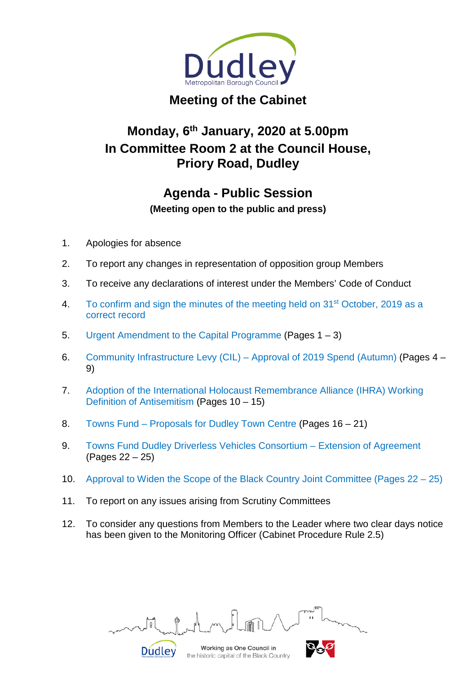

# **Meeting of the Cabinet**

# **Monday, 6th January, 2020 at 5.00pm In Committee Room 2 at the Council House, Priory Road, Dudley**

# **Agenda - Public Session**

**(Meeting open to the public and press)**

- 1. Apologies for absence
- 2. To report any changes in representation of opposition group Members
- 3. To receive any declarations of interest under the Members' Code of Conduct
- 4. To confirm and sign the minutes of the meeting held on 31<sup>st</sup> October, 2019 as a correct record
- 5. Urgent Amendment to the Capital Programme (Pages 1 3)
- 6. Community Infrastructure Levy (CIL) Approval of 2019 Spend (Autumn) (Pages 4 9)
- 7. Adoption of the International Holocaust Remembrance Alliance (IHRA) Working Definition of Antisemitism (Pages 10 – 15)
- 8. Towns Fund Proposals for Dudley Town Centre (Pages 16 21)
- 9. Towns Fund Dudley Driverless Vehicles Consortium Extension of Agreement (Pages 22 – 25)
- 10. Approval to Widen the Scope of the Black Country Joint Committee (Pages 22 25)
- 11. To report on any issues arising from Scrutiny Committees

**Dudley** 

12. To consider any questions from Members to the Leader where two clear days notice has been given to the Monitoring Officer (Cabinet Procedure Rule 2.5)

Working as One Council in

the historic capital of the Black Country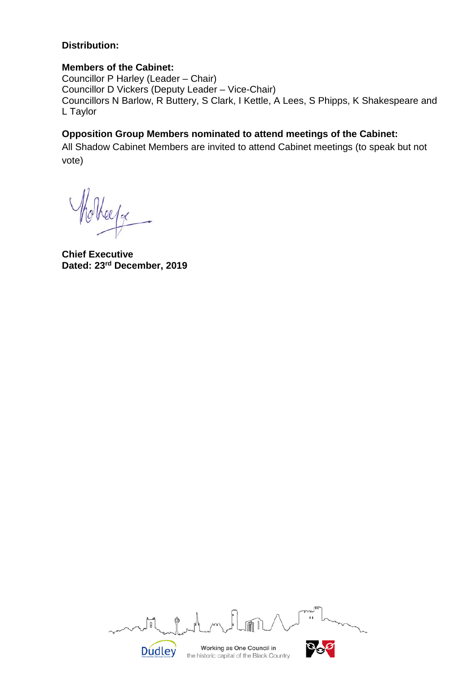#### **Distribution:**

#### **Members of the Cabinet:**

Councillor P Harley (Leader – Chair) Councillor D Vickers (Deputy Leader – Vice-Chair) Councillors N Barlow, R Buttery, S Clark, I Kettle, A Lees, S Phipps, K Shakespeare and L Taylor

### **Opposition Group Members nominated to attend meetings of the Cabinet:**

All Shadow Cabinet Members are invited to attend Cabinet meetings (to speak but not vote)

ee/ge

**Chief Executive Dated: 23rd December, 2019**

 $\mathbb{F}^2$ Working as One Council in **Dudley** the historic capital of the Black Country